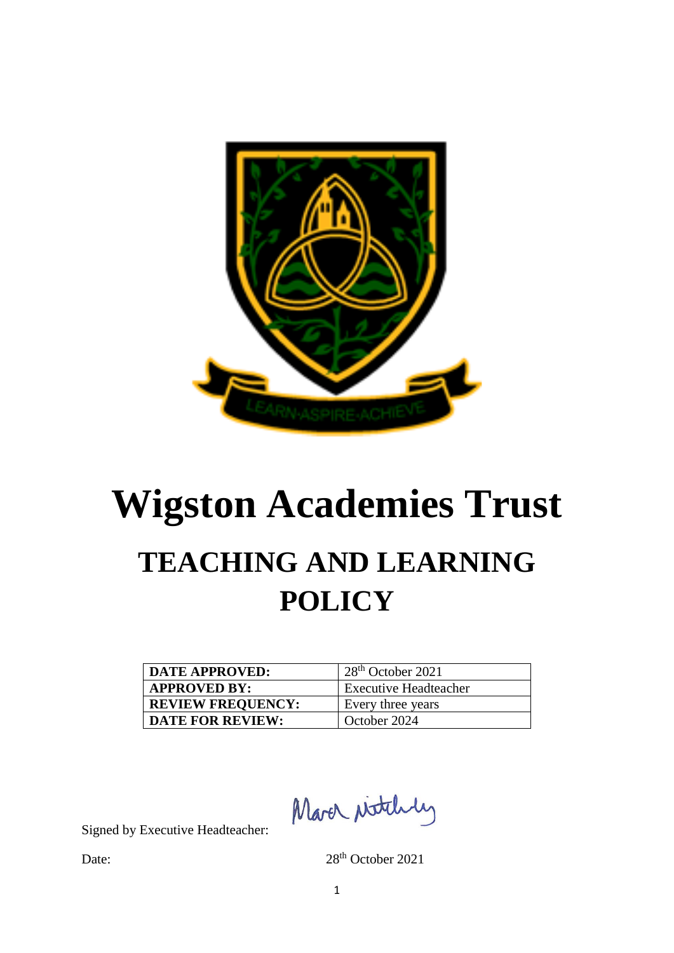

# **Wigston Academies Trust TEACHING AND LEARNING POLICY**

| <b>DATE APPROVED:</b>    | $28th$ October 2021          |
|--------------------------|------------------------------|
| <b>APPROVED BY:</b>      | <b>Executive Headteacher</b> |
| <b>REVIEW FREQUENCY:</b> | Every three years            |
| <b>DATE FOR REVIEW:</b>  | October 2024                 |

March ritchly

Signed by Executive Headteacher:

Date: 28<sup>th</sup> October 2021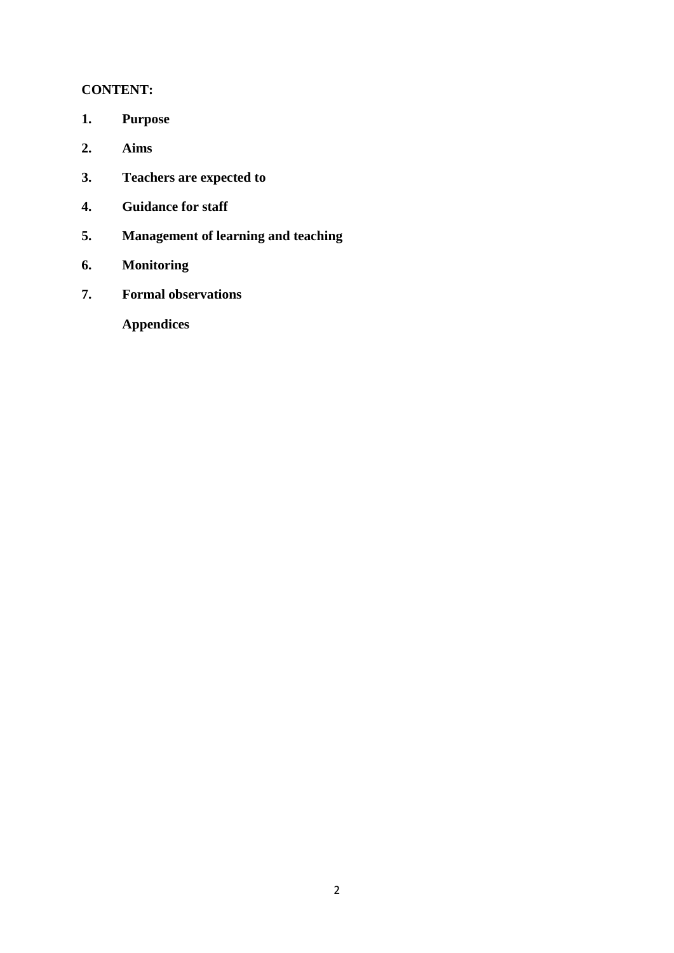## **CONTENT:**

- **1. Purpose**
- **2. Aims**
- **3. Teachers are expected to**
- **4. Guidance for staff**
- **5. Management of learning and teaching**
- **6. Monitoring**
- **7. Formal observations**

**Appendices**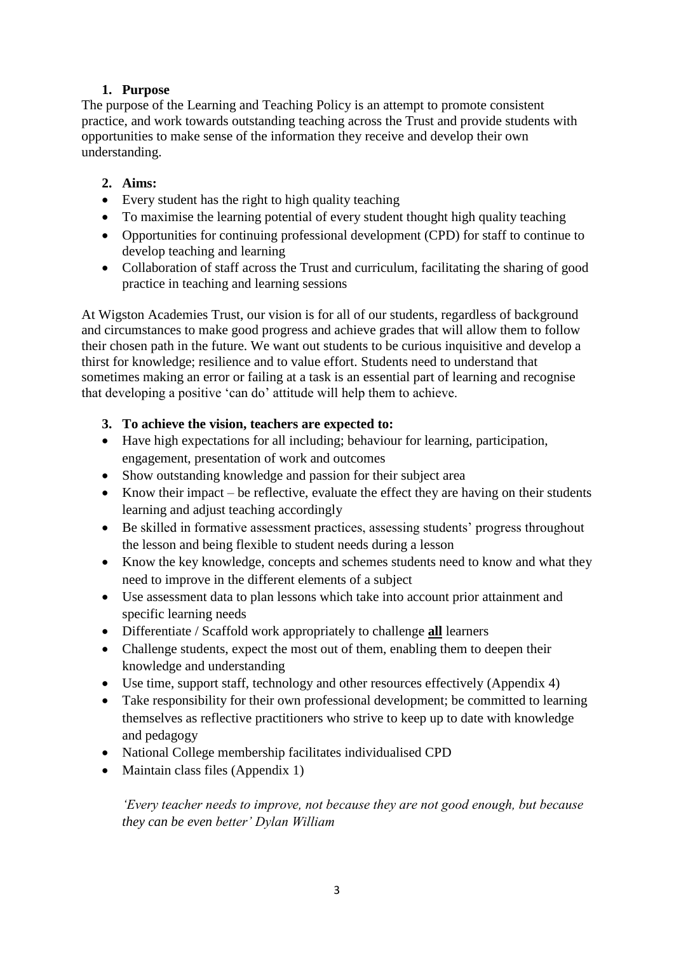# **1. Purpose**

The purpose of the Learning and Teaching Policy is an attempt to promote consistent practice, and work towards outstanding teaching across the Trust and provide students with opportunities to make sense of the information they receive and develop their own understanding.

## **2. Aims:**

- Every student has the right to high quality teaching
- To maximise the learning potential of every student thought high quality teaching
- Opportunities for continuing professional development (CPD) for staff to continue to develop teaching and learning
- Collaboration of staff across the Trust and curriculum, facilitating the sharing of good practice in teaching and learning sessions

At Wigston Academies Trust, our vision is for all of our students, regardless of background and circumstances to make good progress and achieve grades that will allow them to follow their chosen path in the future. We want out students to be curious inquisitive and develop a thirst for knowledge; resilience and to value effort. Students need to understand that sometimes making an error or failing at a task is an essential part of learning and recognise that developing a positive 'can do' attitude will help them to achieve.

## **3. To achieve the vision, teachers are expected to:**

- Have high expectations for all including; behaviour for learning, participation, engagement, presentation of work and outcomes
- Show outstanding knowledge and passion for their subject area
- Know their impact be reflective, evaluate the effect they are having on their students learning and adjust teaching accordingly
- Be skilled in formative assessment practices, assessing students' progress throughout the lesson and being flexible to student needs during a lesson
- Know the key knowledge, concepts and schemes students need to know and what they need to improve in the different elements of a subject
- Use assessment data to plan lessons which take into account prior attainment and specific learning needs
- Differentiate / Scaffold work appropriately to challenge **all** learners
- Challenge students, expect the most out of them, enabling them to deepen their knowledge and understanding
- Use time, support staff, technology and other resources effectively (Appendix 4)
- Take responsibility for their own professional development; be committed to learning themselves as reflective practitioners who strive to keep up to date with knowledge and pedagogy
- National College membership facilitates individualised CPD
- Maintain class files (Appendix 1)

*'Every teacher needs to improve, not because they are not good enough, but because they can be even better' Dylan William*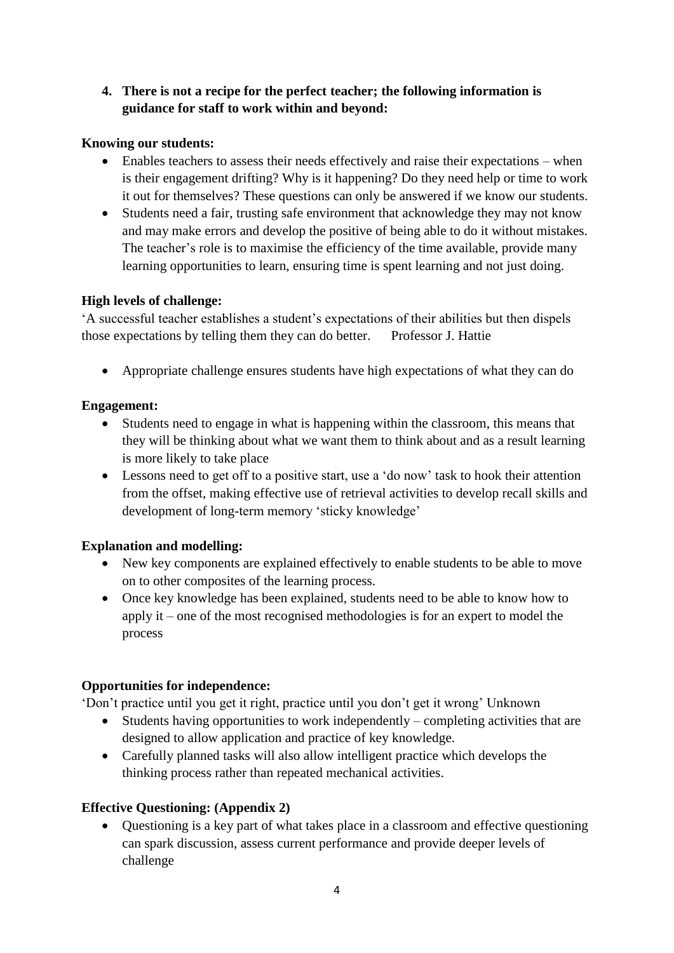# **4. There is not a recipe for the perfect teacher; the following information is guidance for staff to work within and beyond:**

## **Knowing our students:**

- Enables teachers to assess their needs effectively and raise their expectations when is their engagement drifting? Why is it happening? Do they need help or time to work it out for themselves? These questions can only be answered if we know our students.
- Students need a fair, trusting safe environment that acknowledge they may not know and may make errors and develop the positive of being able to do it without mistakes. The teacher's role is to maximise the efficiency of the time available, provide many learning opportunities to learn, ensuring time is spent learning and not just doing.

## **High levels of challenge:**

'A successful teacher establishes a student's expectations of their abilities but then dispels those expectations by telling them they can do better. Professor J. Hattie

• Appropriate challenge ensures students have high expectations of what they can do

## **Engagement:**

- Students need to engage in what is happening within the classroom, this means that they will be thinking about what we want them to think about and as a result learning is more likely to take place
- Lessons need to get off to a positive start, use a 'do now' task to hook their attention from the offset, making effective use of retrieval activities to develop recall skills and development of long-term memory 'sticky knowledge'

# **Explanation and modelling:**

- New key components are explained effectively to enable students to be able to move on to other composites of the learning process.
- Once key knowledge has been explained, students need to be able to know how to apply it – one of the most recognised methodologies is for an expert to model the process

# **Opportunities for independence:**

'Don't practice until you get it right, practice until you don't get it wrong' Unknown

- Students having opportunities to work independently completing activities that are designed to allow application and practice of key knowledge.
- Carefully planned tasks will also allow intelligent practice which develops the thinking process rather than repeated mechanical activities.

# **Effective Questioning: (Appendix 2)**

• Questioning is a key part of what takes place in a classroom and effective questioning can spark discussion, assess current performance and provide deeper levels of challenge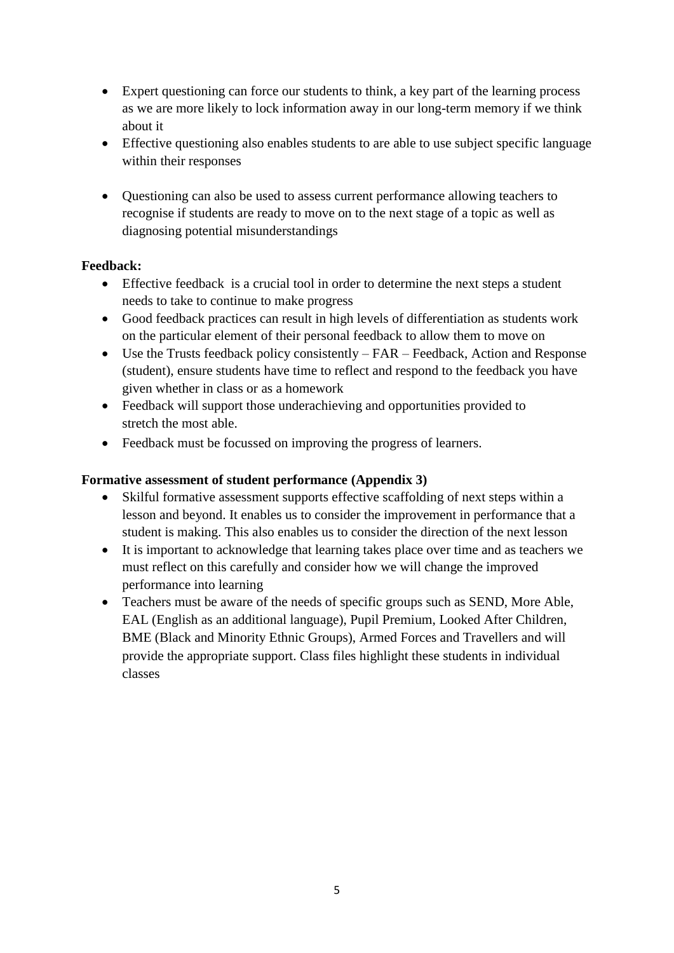- Expert questioning can force our students to think, a key part of the learning process as we are more likely to lock information away in our long-term memory if we think about it
- Effective questioning also enables students to are able to use subject specific language within their responses
- Questioning can also be used to assess current performance allowing teachers to recognise if students are ready to move on to the next stage of a topic as well as diagnosing potential misunderstandings

## **Feedback:**

- Effective feedback is a crucial tool in order to determine the next steps a student needs to take to continue to make progress
- Good feedback practices can result in high levels of differentiation as students work on the particular element of their personal feedback to allow them to move on
- Use the Trusts feedback policy consistently FAR Feedback, Action and Response (student), ensure students have time to reflect and respond to the feedback you have given whether in class or as a homework
- Feedback will support those underachieving and opportunities provided to stretch the most able.
- Feedback must be focussed on improving the progress of learners.

## **Formative assessment of student performance (Appendix 3)**

- Skilful formative assessment supports effective scaffolding of next steps within a lesson and beyond. It enables us to consider the improvement in performance that a student is making. This also enables us to consider the direction of the next lesson
- It is important to acknowledge that learning takes place over time and as teachers we must reflect on this carefully and consider how we will change the improved performance into learning
- Teachers must be aware of the needs of specific groups such as SEND, More Able, EAL (English as an additional language), Pupil Premium, Looked After Children, BME (Black and Minority Ethnic Groups), Armed Forces and Travellers and will provide the appropriate support. Class files highlight these students in individual classes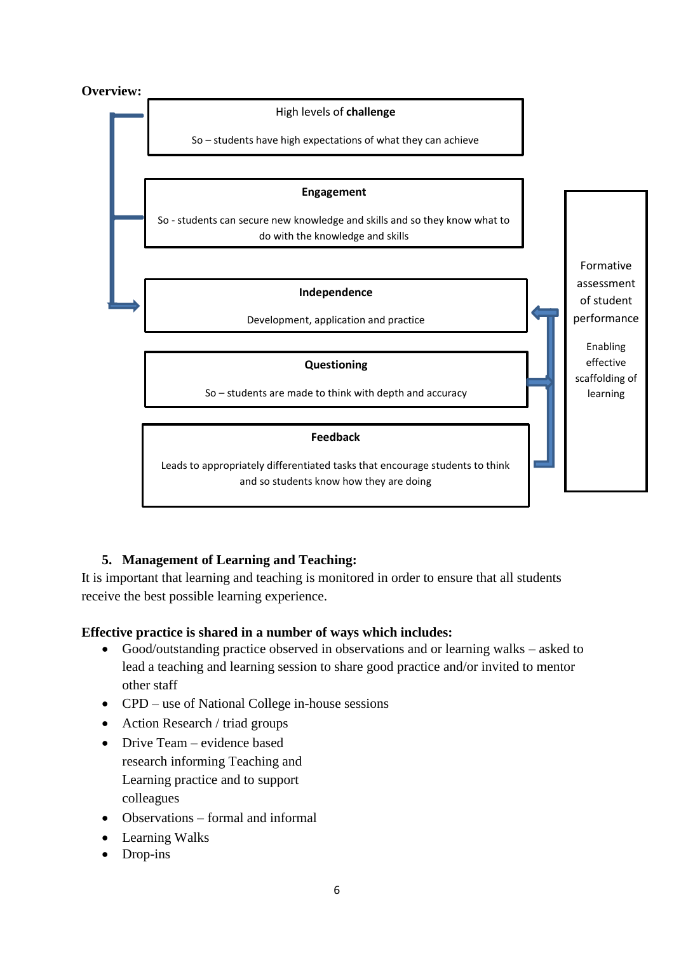#### **Overview:**



# **5. Management of Learning and Teaching:**

It is important that learning and teaching is monitored in order to ensure that all students receive the best possible learning experience.

## **Effective practice is shared in a number of ways which includes:**

- Good/outstanding practice observed in observations and or learning walks asked to lead a teaching and learning session to share good practice and/or invited to mentor other staff
- CPD use of National College in-house sessions
- Action Research / triad groups
- Drive Team evidence based research informing Teaching and Learning practice and to support colleagues
- Observations formal and informal
- Learning Walks
- Drop-ins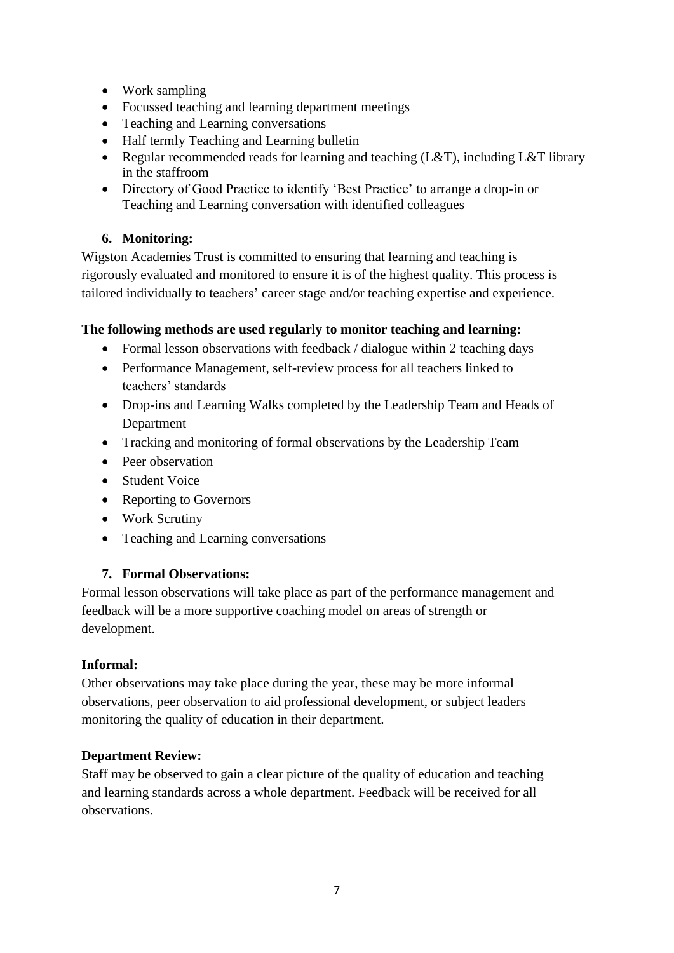- Work sampling
- Focussed teaching and learning department meetings
- Teaching and Learning conversations
- Half termly Teaching and Learning bulletin
- Regular recommended reads for learning and teaching (L&T), including L&T library in the staffroom
- Directory of Good Practice to identify 'Best Practice' to arrange a drop-in or Teaching and Learning conversation with identified colleagues

# **6. Monitoring:**

Wigston Academies Trust is committed to ensuring that learning and teaching is rigorously evaluated and monitored to ensure it is of the highest quality. This process is tailored individually to teachers' career stage and/or teaching expertise and experience.

# **The following methods are used regularly to monitor teaching and learning:**

- Formal lesson observations with feedback / dialogue within 2 teaching days
- Performance Management, self-review process for all teachers linked to teachers' standards
- Drop-ins and Learning Walks completed by the Leadership Team and Heads of Department
- Tracking and monitoring of formal observations by the Leadership Team
- Peer observation
- Student Voice
- Reporting to Governors
- Work Scrutiny
- Teaching and Learning conversations

# **7. Formal Observations:**

Formal lesson observations will take place as part of the performance management and feedback will be a more supportive coaching model on areas of strength or development.

# **Informal:**

Other observations may take place during the year, these may be more informal observations, peer observation to aid professional development, or subject leaders monitoring the quality of education in their department.

# **Department Review:**

Staff may be observed to gain a clear picture of the quality of education and teaching and learning standards across a whole department. Feedback will be received for all observations.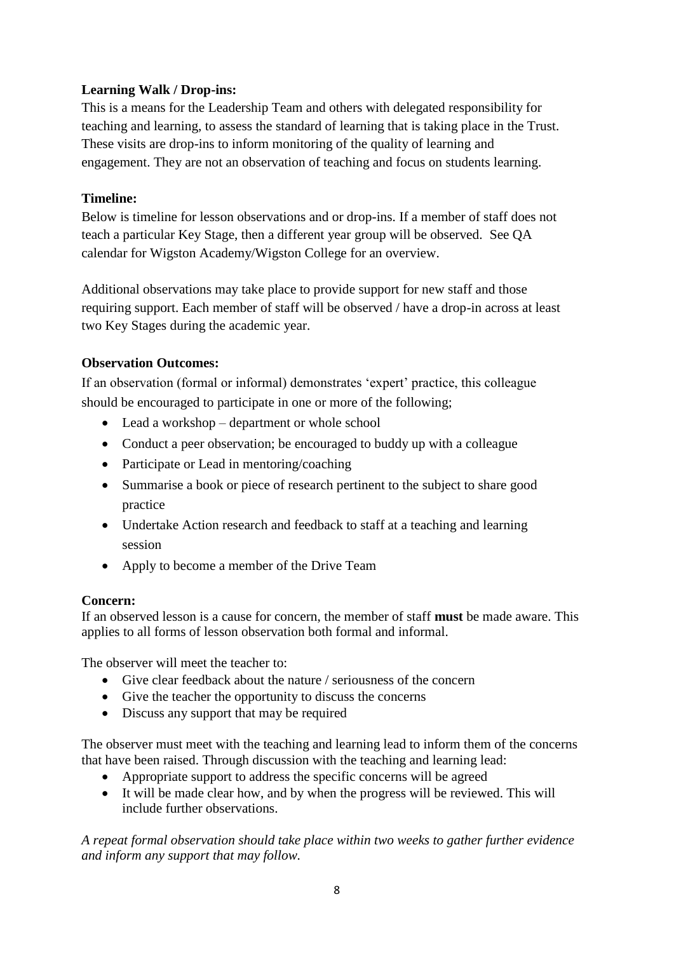# **Learning Walk / Drop-ins:**

This is a means for the Leadership Team and others with delegated responsibility for teaching and learning, to assess the standard of learning that is taking place in the Trust. These visits are drop-ins to inform monitoring of the quality of learning and engagement. They are not an observation of teaching and focus on students learning.

## **Timeline:**

Below is timeline for lesson observations and or drop-ins. If a member of staff does not teach a particular Key Stage, then a different year group will be observed. See QA calendar for Wigston Academy/Wigston College for an overview.

Additional observations may take place to provide support for new staff and those requiring support. Each member of staff will be observed / have a drop-in across at least two Key Stages during the academic year.

## **Observation Outcomes:**

If an observation (formal or informal) demonstrates 'expert' practice, this colleague should be encouraged to participate in one or more of the following;

- Lead a workshop department or whole school
- Conduct a peer observation; be encouraged to buddy up with a colleague
- Participate or Lead in mentoring/coaching
- Summarise a book or piece of research pertinent to the subject to share good practice
- Undertake Action research and feedback to staff at a teaching and learning session
- Apply to become a member of the Drive Team

## **Concern:**

If an observed lesson is a cause for concern, the member of staff **must** be made aware. This applies to all forms of lesson observation both formal and informal.

The observer will meet the teacher to:

- Give clear feedback about the nature / seriousness of the concern
- Give the teacher the opportunity to discuss the concerns
- Discuss any support that may be required

The observer must meet with the teaching and learning lead to inform them of the concerns that have been raised. Through discussion with the teaching and learning lead:

- Appropriate support to address the specific concerns will be agreed
- It will be made clear how, and by when the progress will be reviewed. This will include further observations.

*A repeat formal observation should take place within two weeks to gather further evidence and inform any support that may follow.*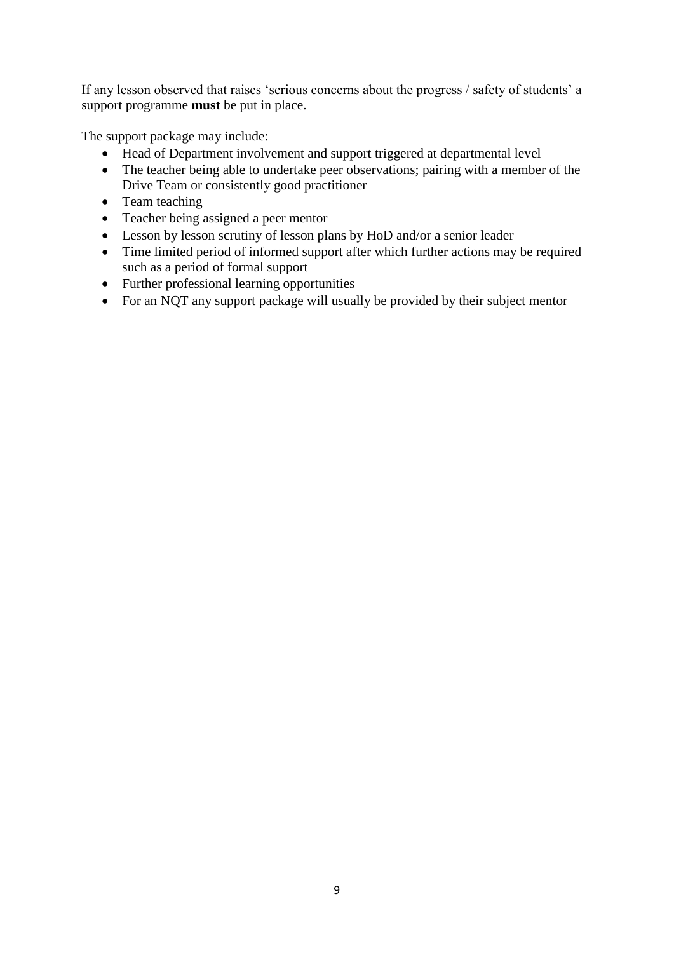If any lesson observed that raises 'serious concerns about the progress / safety of students' a support programme **must** be put in place.

The support package may include:

- Head of Department involvement and support triggered at departmental level
- The teacher being able to undertake peer observations; pairing with a member of the Drive Team or consistently good practitioner
- Team teaching
- Teacher being assigned a peer mentor
- Lesson by lesson scrutiny of lesson plans by HoD and/or a senior leader
- Time limited period of informed support after which further actions may be required such as a period of formal support
- Further professional learning opportunities
- For an NQT any support package will usually be provided by their subject mentor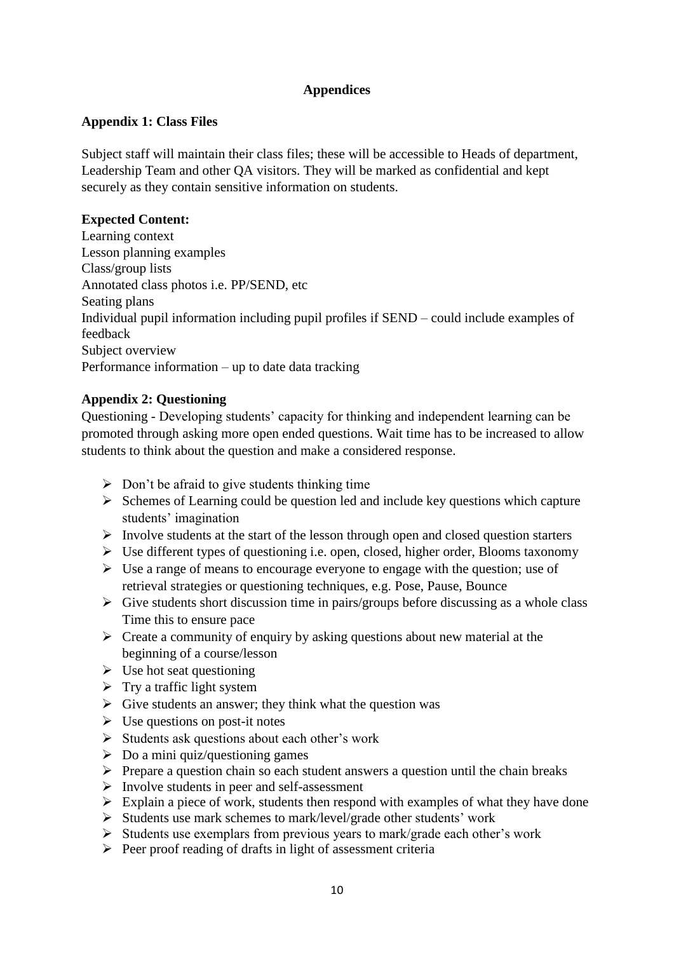# **Appendices**

## **Appendix 1: Class Files**

Subject staff will maintain their class files; these will be accessible to Heads of department, Leadership Team and other QA visitors. They will be marked as confidential and kept securely as they contain sensitive information on students.

#### **Expected Content:**

Learning context Lesson planning examples Class/group lists Annotated class photos i.e. PP/SEND, etc Seating plans Individual pupil information including pupil profiles if SEND – could include examples of feedback Subject overview Performance information – up to date data tracking

## **Appendix 2: Questioning**

Questioning - Developing students' capacity for thinking and independent learning can be promoted through asking more open ended questions. Wait time has to be increased to allow students to think about the question and make a considered response.

- $\triangleright$  Don't be afraid to give students thinking time
- $\triangleright$  Schemes of Learning could be question led and include key questions which capture students' imagination
- $\triangleright$  Involve students at the start of the lesson through open and closed question starters
- ➢ Use different types of questioning i.e. open, closed, higher order, Blooms taxonomy
- ➢ Use a range of means to encourage everyone to engage with the question; use of retrieval strategies or questioning techniques, e.g. Pose, Pause, Bounce
- $\triangleright$  Give students short discussion time in pairs/groups before discussing as a whole class Time this to ensure pace
- $\triangleright$  Create a community of enquiry by asking questions about new material at the beginning of a course/lesson
- $\triangleright$  Use hot seat questioning
- $\triangleright$  Try a traffic light system
- $\triangleright$  Give students an answer; they think what the question was
- $\triangleright$  Use questions on post-it notes
- ➢ Students ask questions about each other's work
- $\triangleright$  Do a mini quiz/questioning games
- ➢ Prepare a question chain so each student answers a question until the chain breaks
- $\triangleright$  Involve students in peer and self-assessment
- $\triangleright$  Explain a piece of work, students then respond with examples of what they have done
- ➢ Students use mark schemes to mark/level/grade other students' work
- ➢ Students use exemplars from previous years to mark/grade each other's work
- ➢ Peer proof reading of drafts in light of assessment criteria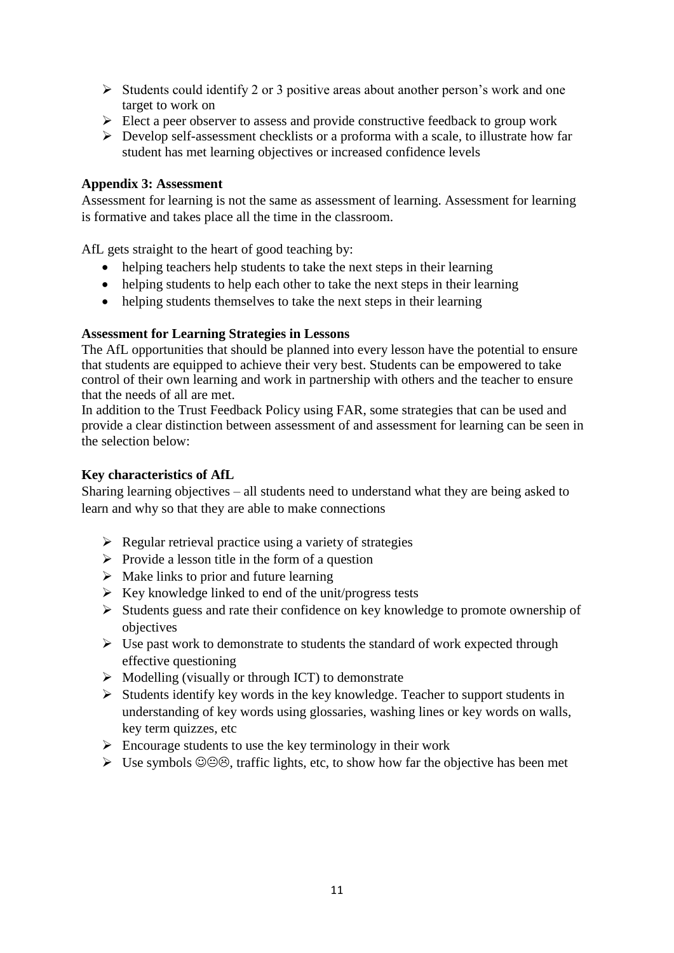- $\triangleright$  Students could identify 2 or 3 positive areas about another person's work and one target to work on
- $\triangleright$  Elect a peer observer to assess and provide constructive feedback to group work
- $\triangleright$  Develop self-assessment checklists or a proforma with a scale, to illustrate how far student has met learning objectives or increased confidence levels

## **Appendix 3: Assessment**

Assessment for learning is not the same as assessment of learning. Assessment for learning is formative and takes place all the time in the classroom.

AfL gets straight to the heart of good teaching by:

- helping teachers help students to take the next steps in their learning
- helping students to help each other to take the next steps in their learning
- helping students themselves to take the next steps in their learning

## **Assessment for Learning Strategies in Lessons**

The AfL opportunities that should be planned into every lesson have the potential to ensure that students are equipped to achieve their very best. Students can be empowered to take control of their own learning and work in partnership with others and the teacher to ensure that the needs of all are met.

In addition to the Trust Feedback Policy using FAR, some strategies that can be used and provide a clear distinction between assessment of and assessment for learning can be seen in the selection below:

## **Key characteristics of AfL**

Sharing learning objectives – all students need to understand what they are being asked to learn and why so that they are able to make connections

- $\triangleright$  Regular retrieval practice using a variety of strategies
- $\triangleright$  Provide a lesson title in the form of a question
- $\triangleright$  Make links to prior and future learning
- $\triangleright$  Key knowledge linked to end of the unit/progress tests
- ➢ Students guess and rate their confidence on key knowledge to promote ownership of objectives
- $\triangleright$  Use past work to demonstrate to students the standard of work expected through effective questioning
- $\triangleright$  Modelling (visually or through ICT) to demonstrate
- ➢ Students identify key words in the key knowledge. Teacher to support students in understanding of key words using glossaries, washing lines or key words on walls, key term quizzes, etc
- $\triangleright$  Encourage students to use the key terminology in their work
- $\triangleright$  Use symbols  $\circledcirc \circledcirc$ , traffic lights, etc, to show how far the objective has been met